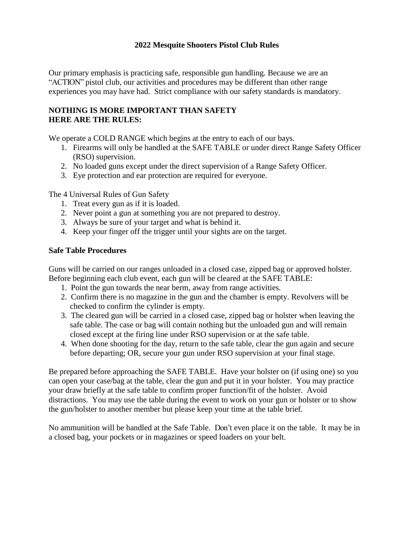### **2022 Mesquite Shooters Pistol Club Rules**

Our primary emphasis is practicing safe, responsible gun handling. Because we are an "ACTION" pistol club, our activities and procedures may be different than other range experiences you may have had. Strict compliance with our safety standards is mandatory.

### **NOTHING IS MORE IMPORTANT THAN SAFETY HERE ARE THE RULES:**

We operate a COLD RANGE which begins at the entry to each of our bays.

- 1. Firearms will only be handled at the SAFE TABLE or under direct Range Safety Officer (RSO) supervision.
- 2. No loaded guns except under the direct supervision of a Range Safety Officer.
- 3. Eye protection and ear protection are required for everyone.

The 4 Universal Rules of Gun Safety

- 1. Treat every gun as if it is loaded.
- 2. Never point a gun at something you are not prepared to destroy.
- 3. Always be sure of your target and what is behind it.
- 4. Keep your finger off the trigger until your sights are on the target.

#### **Safe Table Procedures**

Guns will be carried on our ranges unloaded in a closed case, zipped bag or approved holster. Before beginning each club event, each gun will be cleared at the SAFE TABLE:

- 1. Point the gun towards the near berm, away from range activities.
- 2. Confirm there is no magazine in the gun and the chamber is empty. Revolvers will be checked to confirm the cylinder is empty.
- 3. The cleared gun will be carried in a closed case, zipped bag or holster when leaving the safe table. The case or bag will contain nothing but the unloaded gun and will remain closed except at the firing line under RSO supervision or at the safe table.
- 4. When done shooting for the day, return to the safe table, clear the gun again and secure before departing; OR, secure your gun under RSO supervision at your final stage.

Be prepared before approaching the SAFE TABLE. Have your holster on (if using one) so you can open your case/bag at the table, clear the gun and put it in your holster. You may practice your draw briefly at the safe table to confirm proper function/fit of the holster. Avoid distractions. You may use the table during the event to work on your gun or holster or to show the gun/holster to another member but please keep your time at the table brief.

No ammunition will be handled at the Safe Table. Don't even place it on the table. It may be in a closed bag, your pockets or in magazines or speed loaders on your belt.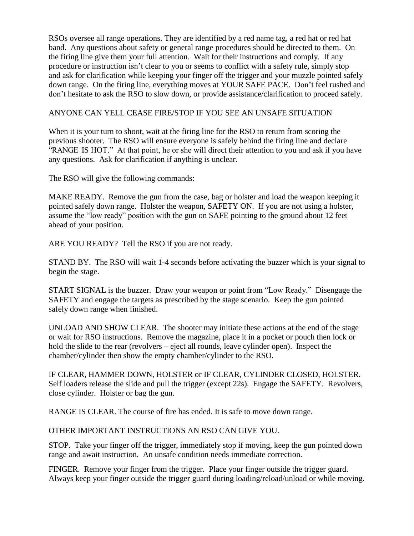RSOs oversee all range operations. They are identified by a red name tag, a red hat or red hat band. Any questions about safety or general range procedures should be directed to them. On the firing line give them your full attention. Wait for their instructions and comply. If any procedure or instruction isn't clear to you or seems to conflict with a safety rule, simply stop and ask for clarification while keeping your finger off the trigger and your muzzle pointed safely down range. On the firing line, everything moves at YOUR SAFE PACE. Don't feel rushed and don't hesitate to ask the RSO to slow down, or provide assistance/clarification to proceed safely.

# ANYONE CAN YELL CEASE FIRE/STOP IF YOU SEE AN UNSAFE SITUATION

When it is your turn to shoot, wait at the firing line for the RSO to return from scoring the previous shooter. The RSO will ensure everyone is safely behind the firing line and declare "RANGE IS HOT." At that point, he or she will direct their attention to you and ask if you have any questions. Ask for clarification if anything is unclear.

The RSO will give the following commands:

MAKE READY. Remove the gun from the case, bag or holster and load the weapon keeping it pointed safely down range. Holster the weapon, SAFETY ON. If you are not using a holster, assume the "low ready" position with the gun on SAFE pointing to the ground about 12 feet ahead of your position.

ARE YOU READY? Tell the RSO if you are not ready.

STAND BY. The RSO will wait 1-4 seconds before activating the buzzer which is your signal to begin the stage.

START SIGNAL is the buzzer. Draw your weapon or point from "Low Ready." Disengage the SAFETY and engage the targets as prescribed by the stage scenario. Keep the gun pointed safely down range when finished.

UNLOAD AND SHOW CLEAR. The shooter may initiate these actions at the end of the stage or wait for RSO instructions. Remove the magazine, place it in a pocket or pouch then lock or hold the slide to the rear (revolvers – eject all rounds, leave cylinder open). Inspect the chamber/cylinder then show the empty chamber/cylinder to the RSO.

IF CLEAR, HAMMER DOWN, HOLSTER or IF CLEAR, CYLINDER CLOSED, HOLSTER. Self loaders release the slide and pull the trigger (except 22s). Engage the SAFETY. Revolvers, close cylinder. Holster or bag the gun.

RANGE IS CLEAR. The course of fire has ended. It is safe to move down range.

# OTHER IMPORTANT INSTRUCTIONS AN RSO CAN GIVE YOU.

STOP. Take your finger off the trigger, immediately stop if moving, keep the gun pointed down range and await instruction. An unsafe condition needs immediate correction.

FINGER. Remove your finger from the trigger. Place your finger outside the trigger guard. Always keep your finger outside the trigger guard during loading/reload/unload or while moving.